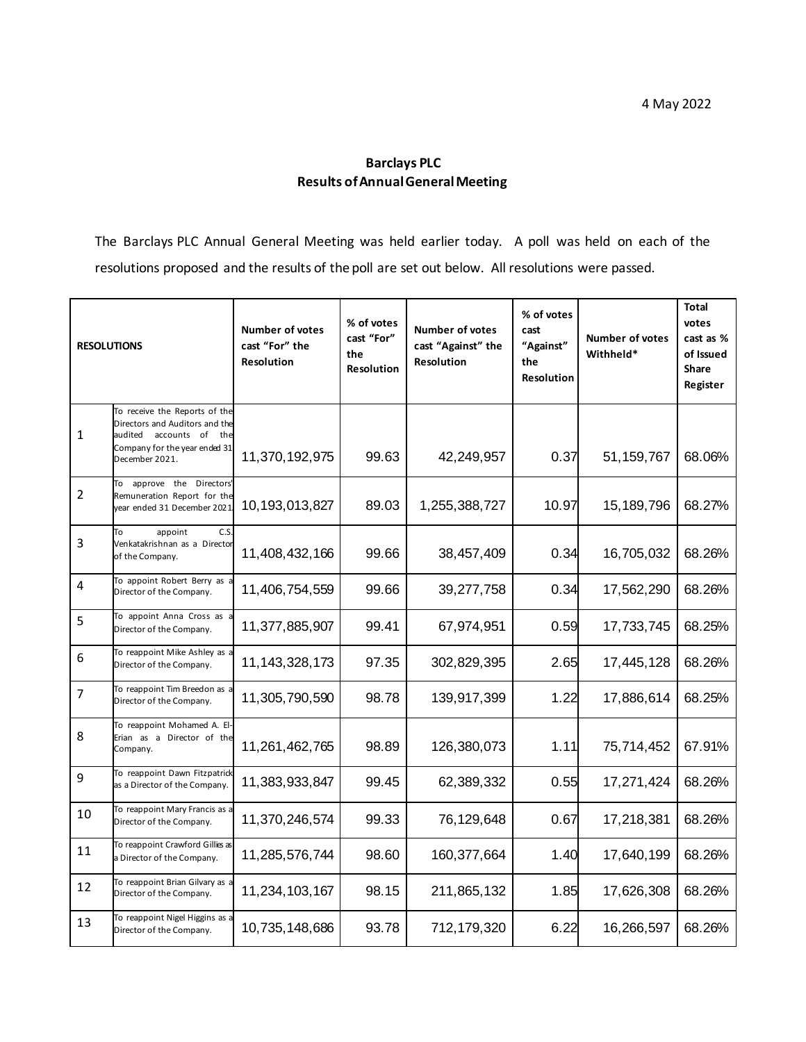## **Barclays PLC Results of Annual General Meeting**

The Barclays PLC Annual General Meeting was held earlier today. A poll was held on each of the resolutions proposed and the results of the poll are set out below. All resolutions were passed.

| <b>RESOLUTIONS</b> |                                                                                                                                                     | <b>Number of votes</b><br>cast "For" the<br><b>Resolution</b> | % of votes<br>cast "For"<br>the<br><b>Resolution</b> | <b>Number of votes</b><br>cast "Against" the<br>Resolution | % of votes<br>cast<br>"Against"<br>the<br><b>Resolution</b> | <b>Number of votes</b><br>Withheld* | <b>Total</b><br>votes<br>cast as %<br>of Issued<br><b>Share</b><br>Register |
|--------------------|-----------------------------------------------------------------------------------------------------------------------------------------------------|---------------------------------------------------------------|------------------------------------------------------|------------------------------------------------------------|-------------------------------------------------------------|-------------------------------------|-----------------------------------------------------------------------------|
| $\mathbf{1}$       | To receive the Reports of the<br>Directors and Auditors and the<br>audited<br>accounts of<br>the<br>Company for the year ended 31<br>December 2021. | 11,370,192,975                                                | 99.63                                                | 42,249,957                                                 | 0.37                                                        | 51, 159, 767                        | 68.06%                                                                      |
| $\overline{2}$     | To approve the Directors'<br>Remuneration Report for the<br>year ended 31 December 2021                                                             | 10,193,013,827                                                | 89.03                                                | 1,255,388,727                                              | 10.97                                                       | 15, 189, 796                        | 68.27%                                                                      |
| 3                  | C.S<br>To<br>appoint<br>Venkatakrishnan as a Director<br>of the Company.                                                                            | 11,408,432,166                                                | 99.66                                                | 38,457,409                                                 | 0.34                                                        | 16,705,032                          | 68.26%                                                                      |
| $\overline{4}$     | To appoint Robert Berry as<br>Director of the Company.                                                                                              | 11,406,754,559                                                | 99.66                                                | 39,277,758                                                 | 0.34                                                        | 17,562,290                          | 68.26%                                                                      |
| 5                  | To appoint Anna Cross as<br>Director of the Company.                                                                                                | 11,377,885,907                                                | 99.41                                                | 67,974,951                                                 | 0.59                                                        | 17,733,745                          | 68.25%                                                                      |
| 6                  | To reappoint Mike Ashley as a<br>Director of the Company.                                                                                           | 11, 143, 328, 173                                             | 97.35                                                | 302,829,395                                                | 2.65                                                        | 17,445,128                          | 68.26%                                                                      |
| $\overline{7}$     | To reappoint Tim Breedon as a<br>Director of the Company.                                                                                           | 11,305,790,590                                                | 98.78                                                | 139,917,399                                                | 1.22                                                        | 17,886,614                          | 68.25%                                                                      |
| 8                  | To reappoint Mohamed A. El<br>Erian as a Director of the<br>Company.                                                                                | 11,261,462,765                                                | 98.89                                                | 126,380,073                                                | 1.11                                                        | 75,714,452                          | 67.91%                                                                      |
| 9                  | To reappoint Dawn Fitzpatrick<br>as a Director of the Company.                                                                                      | 11,383,933,847                                                | 99.45                                                | 62,389,332                                                 | 0.55                                                        | 17,271,424                          | 68.26%                                                                      |
| 10                 | To reappoint Mary Francis as a<br>Director of the Company.                                                                                          | 11,370,246,574                                                | 99.33                                                | 76,129,648                                                 | 0.67                                                        | 17,218,381                          | 68.26%                                                                      |
| 11                 | To reappoint Crawford Gillies as<br>a Director of the Company.                                                                                      | 11,285,576,744                                                | 98.60                                                | 160,377,664                                                | 1.40                                                        | 17,640,199                          | 68.26%                                                                      |
| 12                 | To reappoint Brian Gilvary as a<br>Director of the Company.                                                                                         | 11,234,103,167                                                | 98.15                                                | 211,865,132                                                | 1.85                                                        | 17,626,308                          | 68.26%                                                                      |
| 13                 | To reappoint Nigel Higgins as<br>Director of the Company.                                                                                           | 10,735,148,686                                                | 93.78                                                | 712,179,320                                                | 6.22                                                        | 16,266,597                          | 68.26%                                                                      |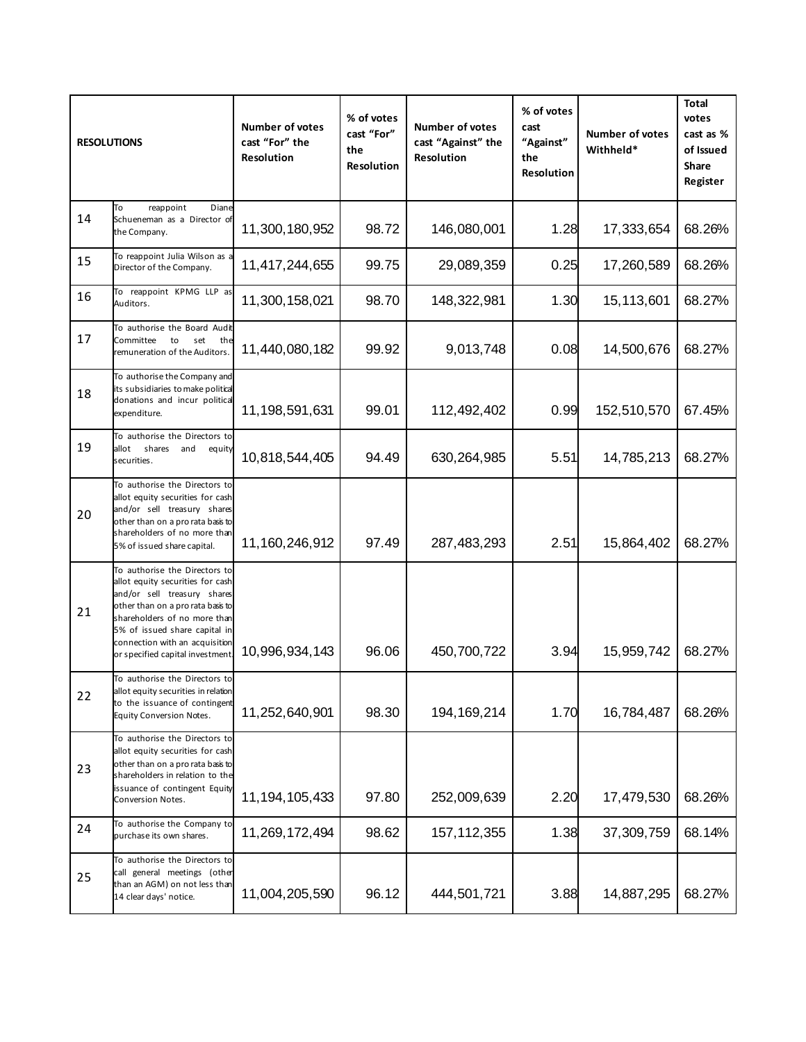| <b>RESOLUTIONS</b> |                                                                                                                                                                                                                                                                              | <b>Number of votes</b><br>cast "For" the<br>Resolution | % of votes<br>cast "For"<br>the<br>Resolution | <b>Number of votes</b><br>cast "Against" the<br>Resolution | % of votes<br>cast<br>"Against"<br>the<br>Resolution | <b>Number of votes</b><br>Withheld* | <b>Total</b><br>votes<br>cast as %<br>of Issued<br><b>Share</b><br>Register |
|--------------------|------------------------------------------------------------------------------------------------------------------------------------------------------------------------------------------------------------------------------------------------------------------------------|--------------------------------------------------------|-----------------------------------------------|------------------------------------------------------------|------------------------------------------------------|-------------------------------------|-----------------------------------------------------------------------------|
| 14                 | To<br>Diane<br>reappoint<br>Schueneman as a Director of<br>the Company.                                                                                                                                                                                                      | 11,300,180,952                                         | 98.72                                         | 146,080,001                                                | 1.28                                                 | 17,333,654                          | 68.26%                                                                      |
| 15                 | To reappoint Julia Wilson as a<br>Director of the Company.                                                                                                                                                                                                                   | 11,417,244,655                                         | 99.75                                         | 29,089,359                                                 | 0.25                                                 | 17,260,589                          | 68.26%                                                                      |
| 16                 | To reappoint KPMG LLP as<br>Auditors.                                                                                                                                                                                                                                        | 11,300,158,021                                         | 98.70                                         | 148,322,981                                                | 1.30                                                 | 15,113,601                          | 68.27%                                                                      |
| 17                 | To authorise the Board Audit<br>Committee<br>to<br>set<br>the<br>remuneration of the Auditors.                                                                                                                                                                               | 11,440,080,182                                         | 99.92                                         | 9,013,748                                                  | 0.08                                                 | 14,500,676                          | 68.27%                                                                      |
| 18                 | To authorise the Company and<br>its subsidiaries to make political<br>donations and incur political<br>expenditure.                                                                                                                                                          | 11,198,591,631                                         | 99.01                                         | 112,492,402                                                | 0.99                                                 | 152,510,570                         | 67.45%                                                                      |
| 19                 | To authorise the Directors to<br>allot<br>shares<br>and<br>equity<br>securities.                                                                                                                                                                                             | 10,818,544,405                                         | 94.49                                         | 630,264,985                                                | 5.51                                                 | 14,785,213                          | 68.27%                                                                      |
| 20                 | To authorise the Directors to<br>allot equity securities for cash<br>and/or sell treasury shares<br>other than on a pro rata basis to<br>shareholders of no more than<br>5% of issued share capital.                                                                         | 11,160,246,912                                         | 97.49                                         | 287,483,293                                                | 2.51                                                 | 15,864,402                          | 68.27%                                                                      |
| 21                 | To authorise the Directors to<br>allot equity securities for cash<br>and/or sell treasury shares<br>other than on a pro rata basis to<br>shareholders of no more than<br>5% of issued share capital in<br>connection with an acquisition<br>or specified capital investment. | 10,996,934,143                                         | 96.06                                         | 450,700,722                                                | 3.94                                                 | 15,959,742                          | 68.27%                                                                      |
| 22                 | To authorise the Directors to<br>allot equity securities in relation<br>to the issuance of contingent<br><b>Equity Conversion Notes.</b>                                                                                                                                     | 11,252,640,901                                         | 98.30                                         | 194, 169, 214                                              | 1.70                                                 | 16,784,487                          | 68.26%                                                                      |
| 23                 | To authorise the Directors to<br>allot equity securities for cash<br>other than on a pro rata basis to<br>shareholders in relation to the<br>issuance of contingent Equity<br>Conversion Notes.                                                                              | 11, 194, 105, 433                                      | 97.80                                         | 252,009,639                                                | 2.20                                                 | 17,479,530                          | 68.26%                                                                      |
| 24                 | To authorise the Company to<br>purchase its own shares.                                                                                                                                                                                                                      | 11,269,172,494                                         | 98.62                                         | 157, 112, 355                                              | 1.38                                                 | 37,309,759                          | 68.14%                                                                      |
| 25                 | To authorise the Directors to<br>call general meetings (other<br>than an AGM) on not less than<br>14 clear days' notice.                                                                                                                                                     | 11,004,205,590                                         | 96.12                                         | 444,501,721                                                | 3.88                                                 | 14,887,295                          | 68.27%                                                                      |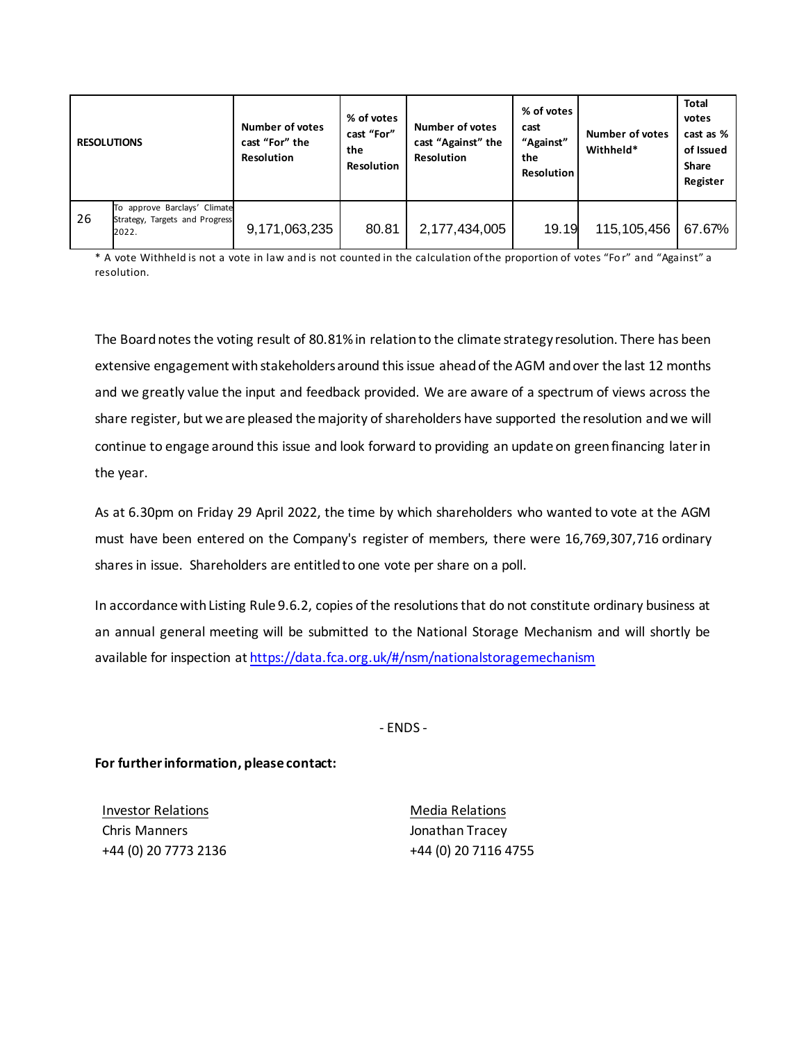| <b>RESOLUTIONS</b> |                                                                         | <b>Number of votes</b><br>cast "For" the<br><b>Resolution</b> | % of votes<br>cast "For"<br>the<br><b>Resolution</b> | <b>Number of votes</b><br>cast "Against" the<br><b>Resolution</b> | % of votes<br>cast<br>"Against"<br>the<br><b>Resolution</b> | <b>Number of votes</b><br>Withheld* | <b>Total</b><br>votes<br>cast as %<br>of Issued<br><b>Share</b><br>Register |
|--------------------|-------------------------------------------------------------------------|---------------------------------------------------------------|------------------------------------------------------|-------------------------------------------------------------------|-------------------------------------------------------------|-------------------------------------|-----------------------------------------------------------------------------|
| 26                 | To approve Barclays' Climate<br>Strategy, Targets and Progress<br>2022. | 9,171,063,235                                                 | 80.81                                                | 2,177,434,005                                                     | 19.19                                                       | 115, 105, 456                       | 67.67%                                                                      |

\* A vote Withheld is not a vote in law and is not counted in the calculation of the proportion of votes "Fo r" and "Against" a resolution.

The Board notes the voting result of 80.81% in relation to the climate strategy resolution. There has been extensive engagement with stakeholders around this issue ahead of the AGM and over the last 12 months and we greatly value the input and feedback provided. We are aware of a spectrum of views across the share register, but we are pleased the majority of shareholders have supported the resolution and we will continue to engage around this issue and look forward to providing an update on green financing later in the year.

As at 6.30pm on Friday 29 April 2022, the time by which shareholders who wanted to vote at the AGM must have been entered on the Company's register of members, there were 16,769,307,716 ordinary shares in issue. Shareholders are entitled to one vote per share on a poll.

In accordance with Listing Rule 9.6.2, copies of the resolutions that do not constitute ordinary business at an annual general meeting will be submitted to the National Storage Mechanism and will shortly be available for inspection at<https://data.fca.org.uk/#/nsm/nationalstoragemechanism>

- ENDS -

**For further information, please contact:**

Investor Relations Chris Manners +44 (0) 20 7773 2136

Media Relations Jonathan Tracey +44 (0) 20 7116 4755